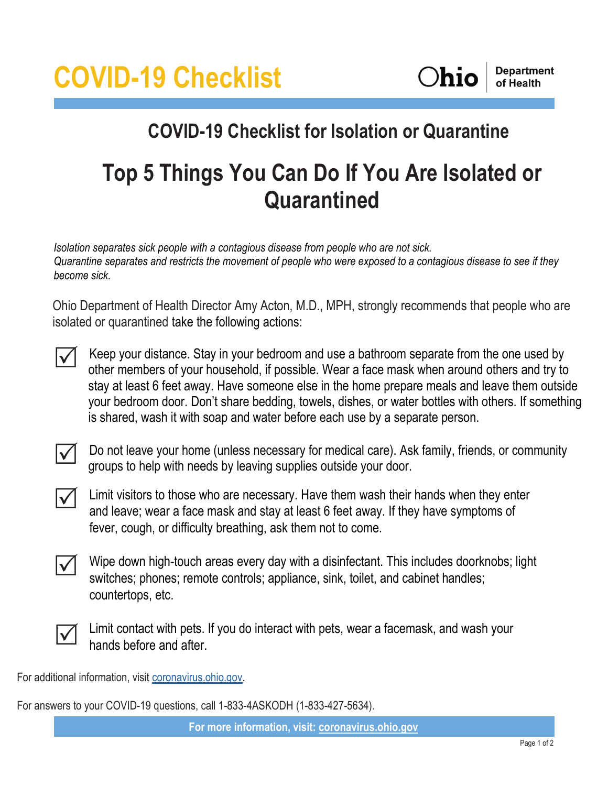

## **COVID-19 Checklist for Isolation or Quarantine**

## **Top 5 Things You Can Do If You Are Isolated or Quarantined**

*Isolation separates sick people with a contagious disease from people who are not sick. Quarantine separates and restricts the movement of people who were exposed to a contagious disease to see if they become sick.*

Ohio Department of Health Director Amy Acton, M.D., MPH, strongly recommends that people who are isolated or quarantined take the following actions:



Keep your distance. Stay in your bedroom and use a bathroom separate from the one used by other members of your household, if possible. Wear a face mask when around others and try to stay at least 6 feet away. Have someone else in the home prepare meals and leave them outside your bedroom door. Don't share bedding, towels, dishes, or water bottles with others. If something is shared, wash it with soap and water before each use by a separate person.

 $\Delta$ 

Do not leave your home (unless necessary for medical care). Ask family, friends, or community groups to help with needs by leaving supplies outside your door.



Limit visitors to those who are necessary. Have them wash their hands when they enter and leave; wear a face mask and stay at least 6 feet away. If they have symptoms of fever, cough, or difficulty breathing, ask them not to come.



Wipe down high-touch areas every day with a disinfectant. This includes doorknobs; light switches; phones; remote controls; appliance, sink, toilet, and cabinet handles; countertops, etc.



Limit contact with pets. If you do interact with pets, wear a facemask, and wash your hands before and after.

For additional information, visit [coronavirus.ohio.gov.](http://coronavirus.ohio.gov/)

For answers to your COVID-19 questions, call 1-833-4ASKODH (1-833-427-5634).

**For more information, visit: [coronavirus.ohio.gov](http://coronavirus.ohio.gov/)**